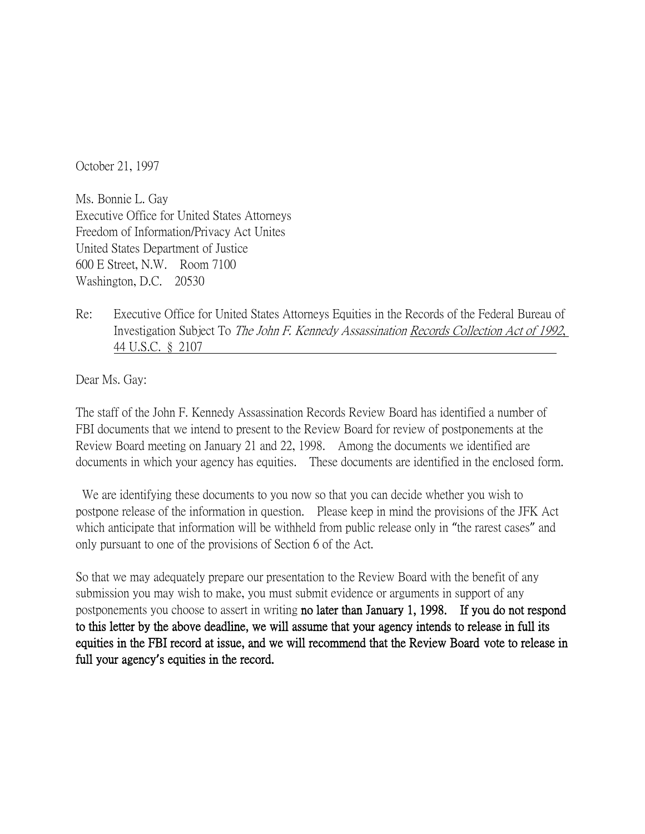October 21, 1997

Ms. Bonnie L. Gay Executive Office for United States Attorneys Freedom of Information/Privacy Act Unites United States Department of Justice 600 E Street, N.W. Room 7100 Washington, D.C. 20530

Re: Executive Office for United States Attorneys Equities in the Records of the Federal Bureau of Investigation Subject To The John F. Kennedy Assassination Records Collection Act of 1992, 44 U.S.C. § 2107

Dear Ms. Gay:

The staff of the John F. Kennedy Assassination Records Review Board has identified a number of FBI documents that we intend to present to the Review Board for review of postponements at the Review Board meeting on January 21 and 22, 1998. Among the documents we identified are documents in which your agency has equities. These documents are identified in the enclosed form.

We are identifying these documents to you now so that you can decide whether you wish to postpone release of the information in question. Please keep in mind the provisions of the JFK Act which anticipate that information will be withheld from public release only in "the rarest cases" and only pursuant to one of the provisions of Section 6 of the Act.

So that we may adequately prepare our presentation to the Review Board with the benefit of any submission you may wish to make, you must submit evidence or arguments in support of any postponements you choose to assert in writing no later than January 1, 1998. If you do not respond to this letter by the above deadline, we will assume that your agency intends to release in full its equities in the FBI record at issue, and we will recommend that the Review Board vote to release in full your agency**'**s equities in the record.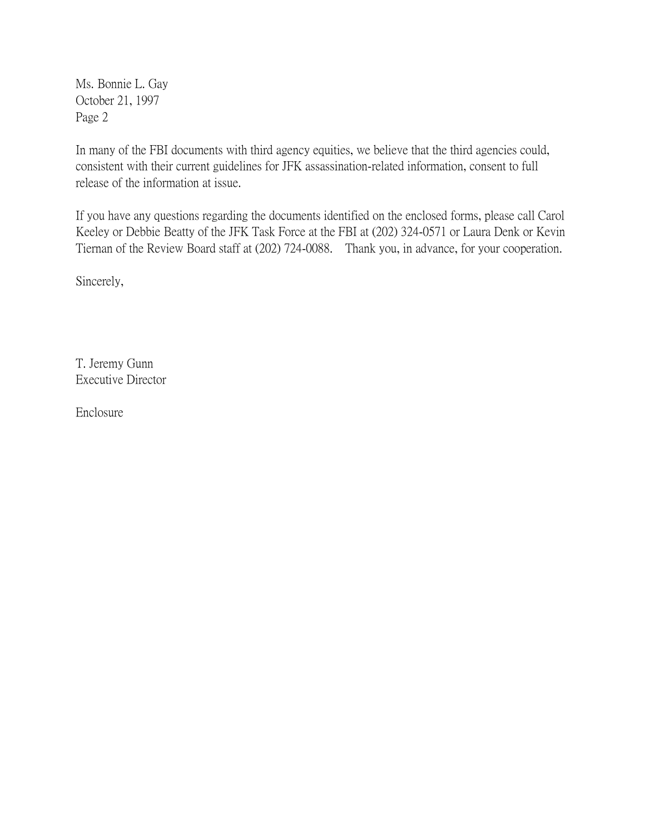Ms. Bonnie L. Gay October 21, 1997 Page 2

In many of the FBI documents with third agency equities, we believe that the third agencies could, consistent with their current guidelines for JFK assassination-related information, consent to full release of the information at issue.

If you have any questions regarding the documents identified on the enclosed forms, please call Carol Keeley or Debbie Beatty of the JFK Task Force at the FBI at (202) 324-0571 or Laura Denk or Kevin Tiernan of the Review Board staff at (202) 724-0088. Thank you, in advance, for your cooperation.

Sincerely,

T. Jeremy Gunn Executive Director

Enclosure